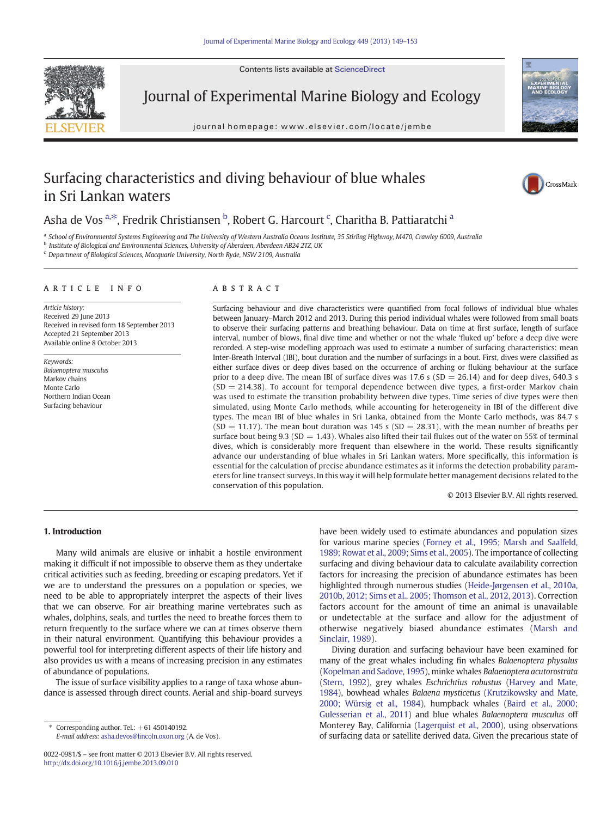Contents lists available at [ScienceDirect](http://www.sciencedirect.com/science/journal/00220981)



Journal of Experimental Marine Biology and Ecology

journal homepage: www.elsevier.com/locate/jembe



# Surfacing characteristics and diving behaviour of blue whales in Sri Lankan waters



# Asha de Vos <sup>a, $\ast$ </sup>, Fredrik Christiansen <sup>b</sup>, Robert G. Harcourt <sup>c</sup>, Charitha B. Pattiaratchi <sup>a</sup>

a *School of Environmental Systems Engineering and The University of Western Australia Oceans Institute, 35 Stirling Highway, M470, Crawley 6009, Australia*

b *Institute of Biological and Environmental Sciences, University of Aberdeen, Aberdeen AB24 2TZ, UK*

<sup>c</sup> *Department of Biological Sciences, Macquarie University, North Ryde, NSW 2109, Australia*

## article info abstract

*Article history:* Received 29 June 2013 Received in revised form 18 September 2013 Accepted 21 September 2013 Available online 8 October 2013

*Keywords: Balaenoptera musculus* Markov chains Monte Carlo Northern Indian Ocean Surfacing behaviour

Surfacing behaviour and dive characteristics were quantified from focal follows of individual blue whales between January–March 2012 and 2013. During this period individual whales were followed from small boats to observe their surfacing patterns and breathing behaviour. Data on time at first surface, length of surface interval, number of blows, final dive time and whether or not the whale 'fluked up' before a deep dive were recorded. A step-wise modelling approach was used to estimate a number of surfacing characteristics: mean Inter-Breath Interval (IBI), bout duration and the number of surfacings in a bout. First, dives were classified as either surface dives or deep dives based on the occurrence of arching or fluking behaviour at the surface prior to a deep dive. The mean IBI of surface dives was 17.6 s ( $SD = 26.14$ ) and for deep dives, 640.3 s  $(SD = 214.38)$ . To account for temporal dependence between dive types, a first-order Markov chain was used to estimate the transition probability between dive types. Time series of dive types were then simulated, using Monte Carlo methods, while accounting for heterogeneity in IBI of the different dive types. The mean IBI of blue whales in Sri Lanka, obtained from the Monte Carlo methods, was 84.7 s  $(SD = 11.17)$ . The mean bout duration was 145 s  $(SD = 28.31)$ , with the mean number of breaths per surface bout being 9.3 (SD = 1.43). Whales also lifted their tail flukes out of the water on 55% of terminal dives, which is considerably more frequent than elsewhere in the world. These results significantly advance our understanding of blue whales in Sri Lankan waters. More specifically, this information is essential for the calculation of precise abundance estimates as it informs the detection probability parameters for line transect surveys. In this way it will help formulate better management decisions related to the conservation of this population.

© 2013 Elsevier B.V. All rights reserved.

# 1. Introduction

Many wild animals are elusive or inhabit a hostile environment making it difficult if not impossible to observe them as they undertake critical activities such as feeding, breeding or escaping predators. Yet if we are to understand the pressures on a population or species, we need to be able to appropriately interpret the aspects of their lives that we can observe. For air breathing marine vertebrates such as whales, dolphins, seals, and turtles the need to breathe forces them to return frequently to the surface where we can at times observe them in their natural environment. Quantifying this behaviour provides a powerful tool for interpreting different aspects of their life history and also provides us with a means of increasing precision in any estimates of abundance of populations.

The issue of surface visibility applies to a range of taxa whose abundance is assessed through direct counts. Aerial and ship-board surveys

Corresponding author. Tel.:  $+61$  450140192. *E-mail address:* [asha.devos@lincoln.oxon.org](mailto:asha.devos@lincoln.oxon.org) (A. de Vos). have been widely used to estimate abundances and population sizes for various marine species [\(Forney et al., 1995; Marsh and Saalfeld,](#page-4-0) [1989; Rowat et al., 2009; Sims et al., 2005](#page-4-0)). The importance of collecting surfacing and diving behaviour data to calculate availability correction factors for increasing the precision of abundance estimates has been highlighted through numerous studies ([Heide-Jørgensen et al., 2010a,](#page-4-0) [2010b, 2012; Sims et al., 2005; Thomson et al., 2012, 2013\)](#page-4-0). Correction factors account for the amount of time an animal is unavailable or undetectable at the surface and allow for the adjustment of otherwise negatively biased abundance estimates ([Marsh and](#page-4-0) [Sinclair, 1989\)](#page-4-0).

Diving duration and surfacing behaviour have been examined for many of the great whales including fin whales *Balaenoptera physalus* [\(Kopelman and Sadove, 1995\)](#page-4-0), minke whales *Balaenoptera acutorostrata* [\(Stern, 1992](#page-4-0)), grey whales *Eschrichtius robustus* [\(Harvey and Mate,](#page-4-0) [1984](#page-4-0)), bowhead whales *Balaena mysticetus* [\(Krutzikowsky and Mate,](#page-4-0) [2000; Würsig et al., 1984\)](#page-4-0), humpback whales ([Baird et al., 2000;](#page-4-0) [Gulesserian et al., 2011\)](#page-4-0) and blue whales *Balaenoptera musculus* off Monterey Bay, California [\(Lagerquist et al., 2000](#page-4-0)), using observations of surfacing data or satellite derived data. Given the precarious state of

<sup>0022-0981/\$</sup> – see front matter © 2013 Elsevier B.V. All rights reserved. <http://dx.doi.org/10.1016/j.jembe.2013.09.010>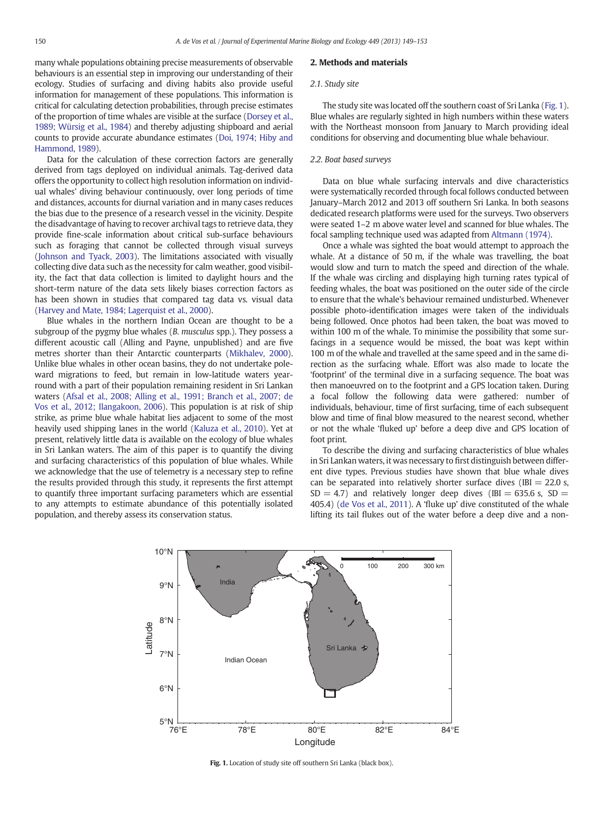many whale populations obtaining precise measurements of observable behaviours is an essential step in improving our understanding of their ecology. Studies of surfacing and diving habits also provide useful information for management of these populations. This information is critical for calculating detection probabilities, through precise estimates of the proportion of time whales are visible at the surface ([Dorsey et al.,](#page-4-0) [1989; Würsig et al., 1984](#page-4-0)) and thereby adjusting shipboard and aerial counts to provide accurate abundance estimates ([Doi, 1974; Hiby and](#page-4-0) [Hammond, 1989\)](#page-4-0).

Data for the calculation of these correction factors are generally derived from tags deployed on individual animals. Tag-derived data offers the opportunity to collect high resolution information on individual whales' diving behaviour continuously, over long periods of time and distances, accounts for diurnal variation and in many cases reduces the bias due to the presence of a research vessel in the vicinity. Despite the disadvantage of having to recover archival tags to retrieve data, they provide fine-scale information about critical sub-surface behaviours such as foraging that cannot be collected through visual surveys [\(Johnson and Tyack, 2003](#page-4-0)). The limitations associated with visually collecting dive data such as the necessity for calm weather, good visibility, the fact that data collection is limited to daylight hours and the short-term nature of the data sets likely biases correction factors as has been shown in studies that compared tag data vs. visual data [\(Harvey and Mate, 1984; Lagerquist et al., 2000\)](#page-4-0).

Blue whales in the northern Indian Ocean are thought to be a subgroup of the pygmy blue whales (*B. musculus* spp.). They possess a different acoustic call (Alling and Payne, unpublished) and are five metres shorter than their Antarctic counterparts [\(Mikhalev, 2000\)](#page-4-0). Unlike blue whales in other ocean basins, they do not undertake poleward migrations to feed, but remain in low-latitude waters yearround with a part of their population remaining resident in Sri Lankan waters [\(Afsal et al., 2008; Alling et al., 1991; Branch et al., 2007; de](#page-4-0) [Vos et al., 2012; Ilangakoon, 2006\)](#page-4-0). This population is at risk of ship strike, as prime blue whale habitat lies adjacent to some of the most heavily used shipping lanes in the world ([Kaluza et al., 2010](#page-4-0)). Yet at present, relatively little data is available on the ecology of blue whales in Sri Lankan waters. The aim of this paper is to quantify the diving and surfacing characteristics of this population of blue whales. While we acknowledge that the use of telemetry is a necessary step to refine the results provided through this study, it represents the first attempt to quantify three important surfacing parameters which are essential to any attempts to estimate abundance of this potentially isolated population, and thereby assess its conservation status.

# 2. Methods and materials

### *2.1. Study site*

The study site was located off the southern coast of Sri Lanka (Fig. 1). Blue whales are regularly sighted in high numbers within these waters with the Northeast monsoon from January to March providing ideal conditions for observing and documenting blue whale behaviour.

# *2.2. Boat based surveys*

Data on blue whale surfacing intervals and dive characteristics were systematically recorded through focal follows conducted between January–March 2012 and 2013 off southern Sri Lanka. In both seasons dedicated research platforms were used for the surveys. Two observers were seated 1–2 m above water level and scanned for blue whales. The focal sampling technique used was adapted from [Altmann \(1974\)](#page-4-0).

Once a whale was sighted the boat would attempt to approach the whale. At a distance of 50 m, if the whale was travelling, the boat would slow and turn to match the speed and direction of the whale. If the whale was circling and displaying high turning rates typical of feeding whales, the boat was positioned on the outer side of the circle to ensure that the whale's behaviour remained undisturbed. Whenever possible photo-identification images were taken of the individuals being followed. Once photos had been taken, the boat was moved to within 100 m of the whale. To minimise the possibility that some surfacings in a sequence would be missed, the boat was kept within 100 m of the whale and travelled at the same speed and in the same direction as the surfacing whale. Effort was also made to locate the 'footprint' of the terminal dive in a surfacing sequence. The boat was then manoeuvred on to the footprint and a GPS location taken. During a focal follow the following data were gathered: number of individuals, behaviour, time of first surfacing, time of each subsequent blow and time of final blow measured to the nearest second, whether or not the whale 'fluked up' before a deep dive and GPS location of foot print.

To describe the diving and surfacing characteristics of blue whales in Sri Lankan waters, it was necessary to first distinguish between different dive types. Previous studies have shown that blue whale dives can be separated into relatively shorter surface dives (IBI  $= 22.0$  s,  $SD = 4.7$ ) and relatively longer deep dives (IBI = 635.6 s, SD = 405.4) ([de Vos et al., 2011\)](#page-4-0). A 'fluke up' dive constituted of the whale lifting its tail flukes out of the water before a deep dive and a non-



Fig. 1. Location of study site off southern Sri Lanka (black box).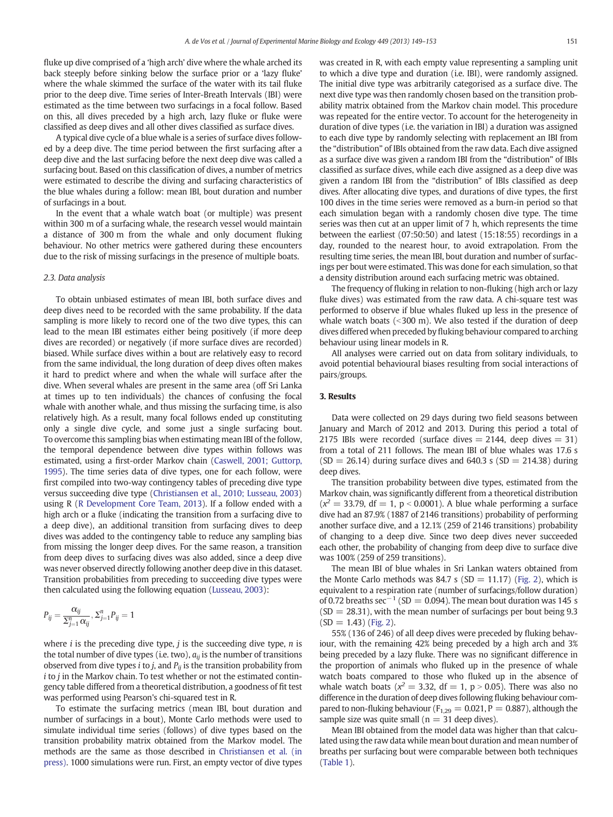fluke up dive comprised of a 'high arch' dive where the whale arched its back steeply before sinking below the surface prior or a 'lazy fluke' where the whale skimmed the surface of the water with its tail fluke prior to the deep dive. Time series of Inter-Breath Intervals (IBI) were estimated as the time between two surfacings in a focal follow. Based on this, all dives preceded by a high arch, lazy fluke or fluke were classified as deep dives and all other dives classified as surface dives.

A typical dive cycle of a blue whale is a series of surface dives followed by a deep dive. The time period between the first surfacing after a deep dive and the last surfacing before the next deep dive was called a surfacing bout. Based on this classification of dives, a number of metrics were estimated to describe the diving and surfacing characteristics of the blue whales during a follow: mean IBI, bout duration and number of surfacings in a bout.

In the event that a whale watch boat (or multiple) was present within 300 m of a surfacing whale, the research vessel would maintain a distance of 300 m from the whale and only document fluking behaviour. No other metrics were gathered during these encounters due to the risk of missing surfacings in the presence of multiple boats.

# *2.3. Data analysis*

To obtain unbiased estimates of mean IBI, both surface dives and deep dives need to be recorded with the same probability. If the data sampling is more likely to record one of the two dive types, this can lead to the mean IBI estimates either being positively (if more deep dives are recorded) or negatively (if more surface dives are recorded) biased. While surface dives within a bout are relatively easy to record from the same individual, the long duration of deep dives often makes it hard to predict where and when the whale will surface after the dive. When several whales are present in the same area (off Sri Lanka at times up to ten individuals) the chances of confusing the focal whale with another whale, and thus missing the surfacing time, is also relatively high. As a result, many focal follows ended up constituting only a single dive cycle, and some just a single surfacing bout. To overcome this sampling bias when estimating mean IBI of the follow, the temporal dependence between dive types within follows was estimated, using a first-order Markov chain [\(Caswell, 2001; Guttorp,](#page-4-0) [1995](#page-4-0)). The time series data of dive types, one for each follow, were first compiled into two-way contingency tables of preceding dive type versus succeeding dive type [\(Christiansen et al., 2010; Lusseau, 2003](#page-4-0)) using R [\(R Development Core Team, 2013](#page-4-0)). If a follow ended with a high arch or a fluke (indicating the transition from a surfacing dive to a deep dive), an additional transition from surfacing dives to deep dives was added to the contingency table to reduce any sampling bias from missing the longer deep dives. For the same reason, a transition from deep dives to surfacing dives was also added, since a deep dive was never observed directly following another deep dive in this dataset. Transition probabilities from preceding to succeeding dive types were then calculated using the following equation [\(Lusseau, 2003\)](#page-4-0):

$$
P_{ij} = \frac{\alpha_{ij}}{\sum_{j=1}^n \alpha_{ij}}, \Sigma_{j=1}^n P_{ij} = 1
$$

where *i* is the preceding dive type, *j* is the succeeding dive type, *n* is the total number of dive types (i.e. two), *aij* is the number of transitions observed from dive types *i* to *j*, and  $P_{ij}$  is the transition probability from *i* to *j* in the Markov chain. To test whether or not the estimated contingency table differed from a theoretical distribution, a goodness of fit test was performed using Pearson's chi-squared test in R.

To estimate the surfacing metrics (mean IBI, bout duration and number of surfacings in a bout), Monte Carlo methods were used to simulate individual time series (follows) of dive types based on the transition probability matrix obtained from the Markov model. The methods are the same as those described in [Christiansen et al. \(in](#page-4-0) [press\)](#page-4-0). 1000 simulations were run. First, an empty vector of dive types was created in R, with each empty value representing a sampling unit to which a dive type and duration (i.e. IBI), were randomly assigned. The initial dive type was arbitrarily categorised as a surface dive. The next dive type was then randomly chosen based on the transition probability matrix obtained from the Markov chain model. This procedure was repeated for the entire vector. To account for the heterogeneity in duration of dive types (i.e. the variation in IBI) a duration was assigned to each dive type by randomly selecting with replacement an IBI from the "distribution" of IBIs obtained from the raw data. Each dive assigned as a surface dive was given a random IBI from the "distribution" of IBIs classified as surface dives, while each dive assigned as a deep dive was given a random IBI from the "distribution" of IBIs classified as deep dives. After allocating dive types, and durations of dive types, the first 100 dives in the time series were removed as a burn-in period so that each simulation began with a randomly chosen dive type. The time series was then cut at an upper limit of 7 h, which represents the time between the earliest (07:50:50) and latest (15:18:55) recordings in a day, rounded to the nearest hour, to avoid extrapolation. From the resulting time series, the mean IBI, bout duration and number of surfacings per bout were estimated. This was done for each simulation, so that a density distribution around each surfacing metric was obtained.

The frequency of fluking in relation to non-fluking (high arch or lazy fluke dives) was estimated from the raw data. A chi-square test was performed to observe if blue whales fluked up less in the presence of whale watch boats  $(< 300$  m). We also tested if the duration of deep dives differed when preceded by fluking behaviour compared to arching behaviour using linear models in R.

All analyses were carried out on data from solitary individuals, to avoid potential behavioural biases resulting from social interactions of pairs/groups.

#### 3. Results

Data were collected on 29 days during two field seasons between January and March of 2012 and 2013. During this period a total of 2175 IBIs were recorded (surface dives  $= 2144$ , deep dives  $= 31$ ) from a total of 211 follows. The mean IBI of blue whales was 17.6 s  $(SD = 26.14)$  during surface dives and 640.3 s  $(SD = 214.38)$  during deep dives.

The transition probability between dive types, estimated from the Markov chain, was significantly different from a theoretical distribution  $(x^2 = 33.79, df = 1, p < 0.0001)$ . A blue whale performing a surface dive had an 87.9% (1887 of 2146 transitions) probability of performing another surface dive, and a 12.1% (259 of 2146 transitions) probability of changing to a deep dive. Since two deep dives never succeeded each other, the probability of changing from deep dive to surface dive was 100% (259 of 259 transitions).

The mean IBI of blue whales in Sri Lankan waters obtained from the Monte Carlo methods was 84.7 s  $(SD = 11.17)$  [\(Fig. 2\)](#page-3-0), which is equivalent to a respiration rate (number of surfacings/follow duration) of 0.72 breaths  $\sec^{-1}$  (SD = 0.094). The mean bout duration was 145 s  $(SD = 28.31)$ , with the mean number of surfacings per bout being 9.3  $(SD = 1.43)$  ([Fig. 2](#page-3-0)).

55% (136 of 246) of all deep dives were preceded by fluking behaviour, with the remaining 42% being preceded by a high arch and 3% being preceded by a lazy fluke. There was no significant difference in the proportion of animals who fluked up in the presence of whale watch boats compared to those who fluked up in the absence of whale watch boats ( $x^2 = 3.32$ , df = 1, p > 0.05). There was also no difference in the duration of deep dives following fluking behaviour compared to non-fluking behaviour ( $F_{1,29} = 0.021$ ,  $P = 0.887$ ), although the sample size was quite small ( $n = 31$  deep dives).

Mean IBI obtained from the model data was higher than that calculated using the raw data while mean bout duration and mean number of breaths per surfacing bout were comparable between both techniques [\(Table 1\)](#page-3-0).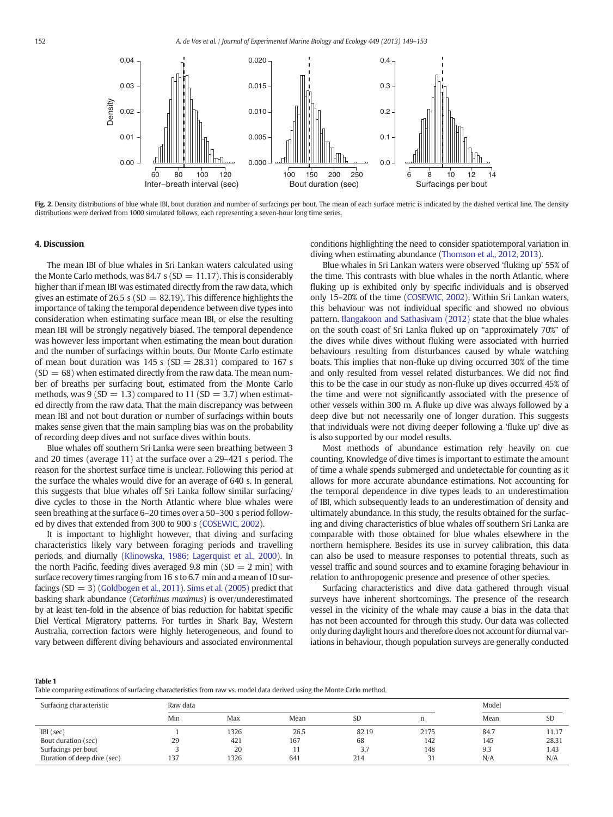<span id="page-3-0"></span>

Fig. 2. Density distributions of blue whale IBI, bout duration and number of surfacings per bout. The mean of each surface metric is indicated by the dashed vertical line. The density distributions were derived from 1000 simulated follows, each representing a seven-hour long time series.

## 4. Discussion

The mean IBI of blue whales in Sri Lankan waters calculated using the Monte Carlo methods, was 84.7 s (SD  $= 11.17$ ). This is considerably higher than if mean IBI was estimated directly from the raw data, which gives an estimate of 26.5 s ( $SD = 82.19$ ). This difference highlights the importance of taking the temporal dependence between dive types into consideration when estimating surface mean IBI, or else the resulting mean IBI will be strongly negatively biased. The temporal dependence was however less important when estimating the mean bout duration and the number of surfacings within bouts. Our Monte Carlo estimate of mean bout duration was  $145$  s (SD = 28.31) compared to 167 s  $(SD = 68)$  when estimated directly from the raw data. The mean number of breaths per surfacing bout, estimated from the Monte Carlo methods, was  $9 (SD = 1.3)$  compared to  $11 (SD = 3.7)$  when estimated directly from the raw data. That the main discrepancy was between mean IBI and not bout duration or number of surfacings within bouts makes sense given that the main sampling bias was on the probability of recording deep dives and not surface dives within bouts.

Blue whales off southern Sri Lanka were seen breathing between 3 and 20 times (average 11) at the surface over a 29–421 s period. The reason for the shortest surface time is unclear. Following this period at the surface the whales would dive for an average of 640 s. In general, this suggests that blue whales off Sri Lanka follow similar surfacing/ dive cycles to those in the North Atlantic where blue whales were seen breathing at the surface 6–20 times over a 50–300 s period followed by dives that extended from 300 to 900 s ([COSEWIC, 2002](#page-4-0)).

It is important to highlight however, that diving and surfacing characteristics likely vary between foraging periods and travelling periods, and diurnally [\(Klinowska, 1986; Lagerquist et al., 2000](#page-4-0)). In the north Pacific, feeding dives averaged 9.8 min  $(SD = 2 \text{ min})$  with surface recovery times ranging from 16 s to 6.7 min and a mean of 10 surfacings  $(SD = 3)$  [\(Goldbogen et al., 2011](#page-4-0)). [Sims et al. \(2005\)](#page-4-0) predict that basking shark abundance (*Cetorhinus maximus*) is over/underestimated by at least ten-fold in the absence of bias reduction for habitat specific Diel Vertical Migratory patterns. For turtles in Shark Bay, Western Australia, correction factors were highly heterogeneous, and found to vary between different diving behaviours and associated environmental conditions highlighting the need to consider spatiotemporal variation in diving when estimating abundance ([Thomson et al., 2012, 2013\)](#page-4-0).

Blue whales in Sri Lankan waters were observed 'fluking up' 55% of the time. This contrasts with blue whales in the north Atlantic, where fluking up is exhibited only by specific individuals and is observed only 15–20% of the time ([COSEWIC, 2002\)](#page-4-0). Within Sri Lankan waters, this behaviour was not individual specific and showed no obvious pattern. [Ilangakoon and Sathasivam \(2012\)](#page-4-0) state that the blue whales on the south coast of Sri Lanka fluked up on "approximately 70%" of the dives while dives without fluking were associated with hurried behaviours resulting from disturbances caused by whale watching boats. This implies that non-fluke up diving occurred 30% of the time and only resulted from vessel related disturbances. We did not find this to be the case in our study as non-fluke up dives occurred 45% of the time and were not significantly associated with the presence of other vessels within 300 m. A fluke up dive was always followed by a deep dive but not necessarily one of longer duration. This suggests that individuals were not diving deeper following a 'fluke up' dive as is also supported by our model results.

Most methods of abundance estimation rely heavily on cue counting. Knowledge of dive times is important to estimate the amount of time a whale spends submerged and undetectable for counting as it allows for more accurate abundance estimations. Not accounting for the temporal dependence in dive types leads to an underestimation of IBI, which subsequently leads to an underestimation of density and ultimately abundance. In this study, the results obtained for the surfacing and diving characteristics of blue whales off southern Sri Lanka are comparable with those obtained for blue whales elsewhere in the northern hemisphere. Besides its use in survey calibration, this data can also be used to measure responses to potential threats, such as vessel traffic and sound sources and to examine foraging behaviour in relation to anthropogenic presence and presence of other species.

Surfacing characteristics and dive data gathered through visual surveys have inherent shortcomings. The presence of the research vessel in the vicinity of the whale may cause a bias in the data that has not been accounted for through this study. Our data was collected only during daylight hours and therefore does not account for diurnal variations in behaviour, though population surveys are generally conducted

#### Table 1

Table comparing estimations of surfacing characteristics from raw vs. model data derived using the Monte Carlo method.

| Surfacing characteristic    | Raw data |      |      |           |      | Model |           |
|-----------------------------|----------|------|------|-----------|------|-------|-----------|
|                             | Min      | Max  | Mean | <b>SD</b> | n    | Mean  | <b>SD</b> |
| IBI (sec)                   |          | 1326 | 26.5 | 82.19     | 2175 | 84.7  | 11.17     |
| Bout duration (sec)         | 29       | 421  | 167  | 68        | 142  | 145   | 28.31     |
| Surfacings per bout         |          | 20   |      | 3.7       | 148  | 9.3   | 1.43      |
| Duration of deep dive (sec) | 137      | 1326 | 641  | 214       | 31   | N/A   | N/A       |